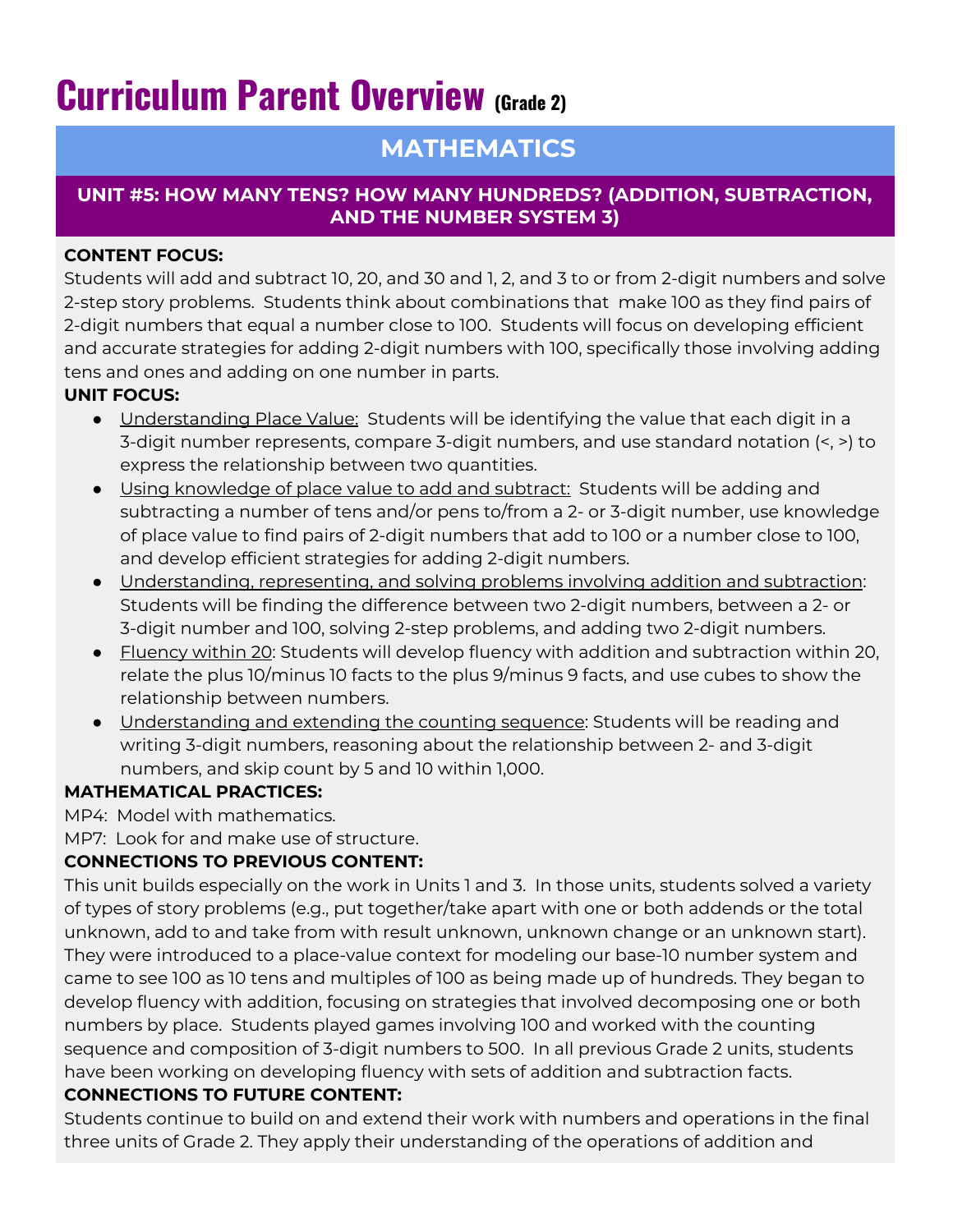# **Curriculum Parent Overview (Grade 2)**

## **MATHEMATICS**

#### **UNIT #5: HOW MANY TENS? HOW MANY HUNDREDS? (ADDITION, SUBTRACTION, AND THE NUMBER SYSTEM 3)**

#### **CONTENT FOCUS:**

Students will add and subtract 10, 20, and 30 and 1, 2, and 3 to or from 2-digit numbers and solve 2-step story problems. Students think about combinations that make 100 as they find pairs of 2-digit numbers that equal a number close to 100. Students will focus on developing efficient and accurate strategies for adding 2-digit numbers with 100, specifically those involving adding tens and ones and adding on one number in parts.

#### **UNIT FOCUS:**

- Understanding Place Value: Students will be identifying the value that each digit in a 3-digit number represents, compare 3-digit numbers, and use standard notation (<, >) to express the relationship between two quantities.
- Using knowledge of place value to add and subtract: Students will be adding and subtracting a number of tens and/or pens to/from a 2- or 3-digit number, use knowledge of place value to find pairs of 2-digit numbers that add to 100 or a number close to 100, and develop efficient strategies for adding 2-digit numbers.
- Understanding, representing, and solving problems involving addition and subtraction: Students will be finding the difference between two 2-digit numbers, between a 2- or 3-digit number and 100, solving 2-step problems, and adding two 2-digit numbers.
- Fluency within 20: Students will develop fluency with addition and subtraction within 20, relate the plus 10/minus 10 facts to the plus 9/minus 9 facts, and use cubes to show the relationship between numbers.
- Understanding and extending the counting sequence: Students will be reading and writing 3-digit numbers, reasoning about the relationship between 2- and 3-digit numbers, and skip count by 5 and 10 within 1,000.

#### **MATHEMATICAL PRACTICES:**

MP4: Model with mathematics.

MP7: Look for and make use of structure.

### **CONNECTIONS TO PREVIOUS CONTENT:**

This unit builds especially on the work in Units 1 and 3. In those units, students solved a variety of types of story problems (e.g., put together/take apart with one or both addends or the total unknown, add to and take from with result unknown, unknown change or an unknown start). They were introduced to a place-value context for modeling our base-10 number system and came to see 100 as 10 tens and multiples of 100 as being made up of hundreds. They began to develop fluency with addition, focusing on strategies that involved decomposing one or both numbers by place. Students played games involving 100 and worked with the counting sequence and composition of 3-digit numbers to 500. In all previous Grade 2 units, students have been working on developing fluency with sets of addition and subtraction facts.

#### **CONNECTIONS TO FUTURE CONTENT:**

Students continue to build on and extend their work with numbers and operations in the final three units of Grade 2. They apply their understanding of the operations of addition and